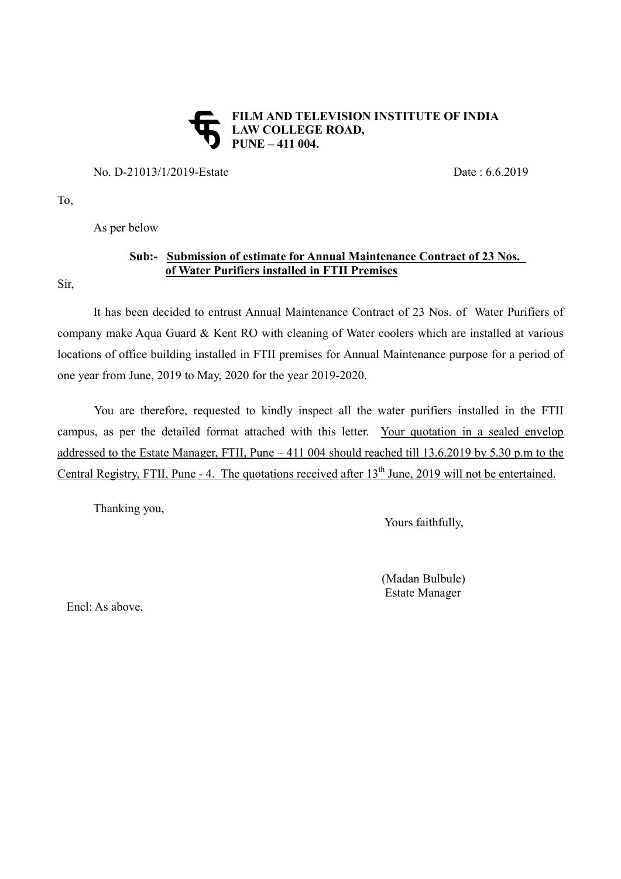## **FILM AND TELEVISION INSTITUTE OF INDIA** LAW COLLEGE ROAD, **PUNE – 411 004.**

No. D-21013/1/2019-Estate Date : 6.6.2019

To,

As per below

## Sub:- Submission of estimate for Annual Maintenance Contract of 23 Nos. of Water Purifiers installed in FTII Premises

Sir,

It has been decided to entrust Annual Maintenance Contract of 23 Nos. of Water Purifiers of company make Aqua Guard & Kent RO with cleaning of Water coolers which are installed at various locations of office building installed in FTII premises for Annual Maintenance purpose for a period of one year from June, 2019 to May, 2020 for the year 2019-2020.

You are therefore, requested to kindly inspect all the water purifiers installed in the FTII campus, as per the detailed format attached with this letter. Your quotation in a sealed envelop addressed to the Estate Manager, FTII, Pune – 411 004 should reached till 13.6.2019 by 5.30 p.m to the Central Registry, FTII, Pune  $-4$ . The quotations received after  $13<sup>th</sup>$  June, 2019 will not be entertained.

Thanking you,

Yours faithfully,

 (Madan Bulbule) Estate Manager

Encl: As above.